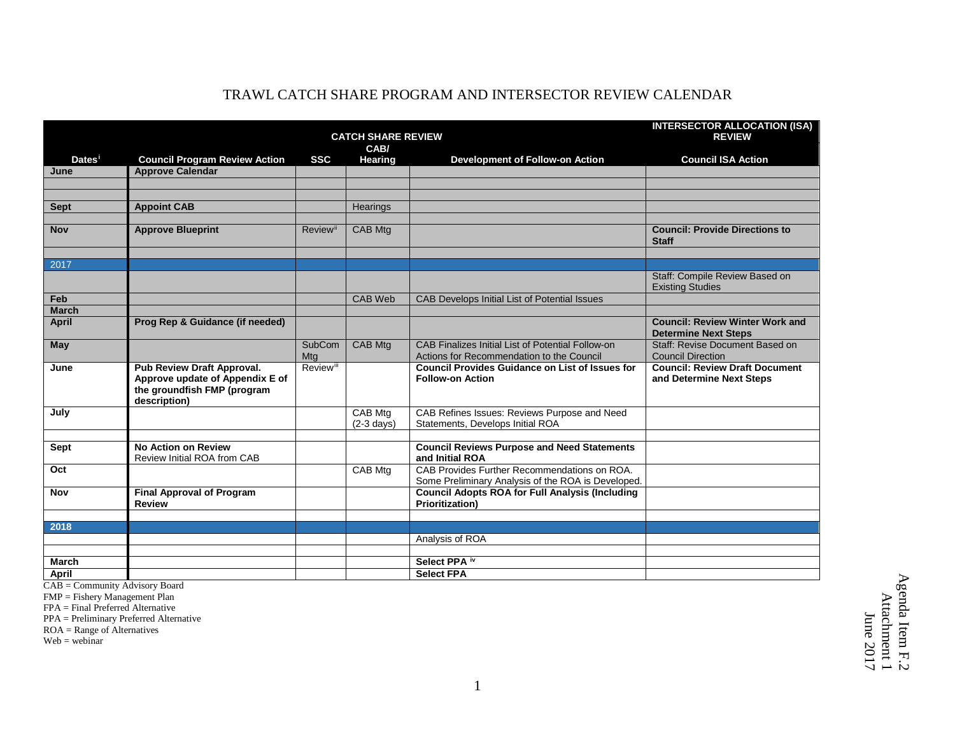|                    | <b>CATCH SHARE REVIEW</b>                         |                              |                      |                                                                                  | <b>INTERSECTOR ALLOCATION (ISA)</b><br><b>REVIEW</b>                  |
|--------------------|---------------------------------------------------|------------------------------|----------------------|----------------------------------------------------------------------------------|-----------------------------------------------------------------------|
|                    | CAB/                                              |                              |                      |                                                                                  |                                                                       |
| Dates <sup>i</sup> | <b>Council Program Review Action</b>              | <b>SSC</b>                   | <b>Hearing</b>       | <b>Development of Follow-on Action</b>                                           | <b>Council ISA Action</b>                                             |
| June               | <b>Approve Calendar</b>                           |                              |                      |                                                                                  |                                                                       |
|                    |                                                   |                              |                      |                                                                                  |                                                                       |
|                    |                                                   |                              |                      |                                                                                  |                                                                       |
| <b>Sept</b>        | <b>Appoint CAB</b>                                |                              | Hearings             |                                                                                  |                                                                       |
|                    |                                                   |                              |                      |                                                                                  |                                                                       |
| <b>Nov</b>         | <b>Approve Blueprint</b>                          | Review <sup>ii</sup>         | <b>CAB Mtg</b>       |                                                                                  | <b>Council: Provide Directions to</b><br><b>Staff</b>                 |
|                    |                                                   |                              |                      |                                                                                  |                                                                       |
| 2017               |                                                   |                              |                      |                                                                                  |                                                                       |
|                    |                                                   |                              |                      |                                                                                  | Staff: Compile Review Based on<br><b>Existing Studies</b>             |
| Feb                |                                                   |                              | CAB Web              | CAB Develops Initial List of Potential Issues                                    |                                                                       |
| <b>March</b>       |                                                   |                              |                      |                                                                                  |                                                                       |
| <b>April</b>       | Prog Rep & Guidance (if needed)                   |                              |                      |                                                                                  | <b>Council: Review Winter Work and</b><br><b>Determine Next Steps</b> |
| May                |                                                   | SubCom                       | CAB Mtg              | CAB Finalizes Initial List of Potential Follow-on                                | Staff: Revise Document Based on                                       |
|                    |                                                   | Mtg                          |                      | Actions for Recommendation to the Council                                        | <b>Council Direction</b>                                              |
| June               | Pub Review Draft Approval.                        | <b>Review</b> <sup>iii</sup> |                      | <b>Council Provides Guidance on List of Issues for</b>                           | <b>Council: Review Draft Document</b>                                 |
|                    | Approve update of Appendix E of                   |                              |                      | <b>Follow-on Action</b>                                                          | and Determine Next Steps                                              |
|                    | the groundfish FMP (program                       |                              |                      |                                                                                  |                                                                       |
| July               | description)                                      |                              | <b>CAB Mtg</b>       | CAB Refines Issues: Reviews Purpose and Need                                     |                                                                       |
|                    |                                                   |                              | $(2-3 \text{ days})$ | Statements, Develops Initial ROA                                                 |                                                                       |
|                    |                                                   |                              |                      |                                                                                  |                                                                       |
| <b>Sept</b>        | <b>No Action on Review</b>                        |                              |                      | <b>Council Reviews Purpose and Need Statements</b>                               |                                                                       |
|                    | Review Initial ROA from CAB                       |                              |                      | and Initial ROA                                                                  |                                                                       |
| Oct                |                                                   |                              | <b>CAB Mtg</b>       | CAB Provides Further Recommendations on ROA.                                     |                                                                       |
|                    |                                                   |                              |                      | Some Preliminary Analysis of the ROA is Developed.                               |                                                                       |
| Nov                | <b>Final Approval of Program</b><br><b>Review</b> |                              |                      | <b>Council Adopts ROA for Full Analysis (Including</b><br><b>Prioritization)</b> |                                                                       |
|                    |                                                   |                              |                      |                                                                                  |                                                                       |
| 2018               |                                                   |                              |                      |                                                                                  |                                                                       |
|                    |                                                   |                              |                      | Analysis of ROA                                                                  |                                                                       |
|                    |                                                   |                              |                      |                                                                                  |                                                                       |
| <b>March</b>       |                                                   |                              |                      | Select PPA <sup>iv</sup>                                                         |                                                                       |
| April              |                                                   |                              |                      | <b>Select FPA</b>                                                                |                                                                       |
|                    |                                                   |                              |                      |                                                                                  |                                                                       |

<span id="page-0-0"></span>CAB = Community Advisory Board

FMP = Fishery Management Plan

FPA = Final Preferred Alternative

PPA = Preliminary Preferred Alternative

ROA = Range of Alternatives

Web = webinar